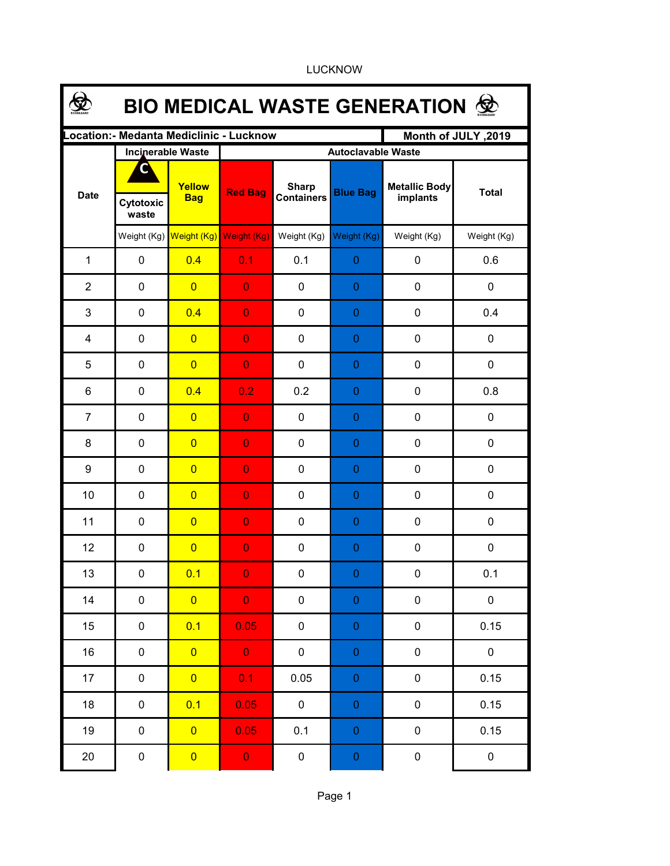|                | <b>BIO MEDICAL WASTE GENERATION ©</b>    |                      |                           |                                   |                  |                                  |                  |  |  |  |  |
|----------------|------------------------------------------|----------------------|---------------------------|-----------------------------------|------------------|----------------------------------|------------------|--|--|--|--|
|                | Location: - Medanta Mediclinic - Lucknow |                      | Month of JULY, 2019       |                                   |                  |                                  |                  |  |  |  |  |
|                | <b>Incinerable Waste</b>                 |                      | <b>Autoclavable Waste</b> |                                   |                  |                                  |                  |  |  |  |  |
| <b>Date</b>    | G<br>Cytotoxic<br>waste                  | Yellow<br><b>Bag</b> | <b>Red Bag</b>            | <b>Sharp</b><br><b>Containers</b> | <b>Blue Bag</b>  | <b>Metallic Body</b><br>implants | <b>Total</b>     |  |  |  |  |
|                | Weight (Kg)                              |                      | Weight (Kg) Weight (Kg)   | Weight (Kg)                       | Weight (Kg)      | Weight (Kg)                      | Weight (Kg)      |  |  |  |  |
| $\mathbf{1}$   | $\mathbf 0$                              | 0.4                  | 0.1                       | 0.1                               | $\mathbf{0}$     | $\mathbf 0$                      | 0.6              |  |  |  |  |
| $\overline{2}$ | $\mathbf 0$                              | $\overline{0}$       | $\overline{0}$            | $\mathbf 0$                       | $\mathbf{0}$     | $\mathbf 0$                      | $\mathbf 0$      |  |  |  |  |
| 3              | $\mathbf 0$                              | 0.4                  | $\overline{0}$            | $\mathbf 0$                       | $\mathbf{0}$     | $\mathbf 0$                      | 0.4              |  |  |  |  |
| $\overline{4}$ | $\mathbf 0$                              | $\overline{0}$       | $\overline{0}$            | $\mathbf 0$                       | 0                | $\mathbf 0$                      | 0                |  |  |  |  |
| 5              | $\mathbf 0$                              | $\overline{0}$       | $\overline{0}$            | $\mathbf 0$                       | 0                | $\mathbf 0$                      | 0                |  |  |  |  |
| 6              | 0                                        | 0.4                  | 0.2                       | 0.2                               | 0                | $\mathbf 0$                      | 0.8              |  |  |  |  |
| $\overline{7}$ | 0                                        | $\overline{0}$       | $\overline{0}$            | $\mathbf 0$                       | 0                | $\mathbf 0$                      | 0                |  |  |  |  |
| 8              | $\mathbf 0$                              | $\overline{0}$       | $\overline{0}$            | $\mathbf 0$                       | 0                | $\mathbf 0$                      | $\mathbf 0$      |  |  |  |  |
| 9              | 0                                        | $\overline{0}$       | $\overline{0}$            | 0                                 | 0                | $\mathbf 0$                      | 0                |  |  |  |  |
| 10             | 0                                        | $\overline{0}$       | $\overline{0}$            | 0                                 | 0                | $\mathbf 0$                      | 0                |  |  |  |  |
| 11             | 0                                        | $\overline{0}$       | $\overline{0}$            | 0                                 | 0                | 0                                | 0                |  |  |  |  |
| 12             | 0                                        | $\overline{0}$       | $\overline{0}$            | 0                                 | 0                | $\mathbf 0$                      | $\boldsymbol{0}$ |  |  |  |  |
| 13             | 0                                        | 0.1                  | $\mathbf{O}$              | 0                                 | $\pmb{0}$        | 0                                | 0.1              |  |  |  |  |
| 14             | $\pmb{0}$                                | $\overline{0}$       | $\mathbf{0}$              | $\pmb{0}$                         | $\boldsymbol{0}$ | $\pmb{0}$                        | $\pmb{0}$        |  |  |  |  |
| 15             | $\pmb{0}$                                | 0.1                  | 0.05                      | $\pmb{0}$                         | $\pmb{0}$        | $\pmb{0}$                        | 0.15             |  |  |  |  |
| 16             | $\pmb{0}$                                | $\overline{0}$       | $\mathbf{O}^+$            | $\pmb{0}$                         | $\pmb{0}$        | $\pmb{0}$                        | $\pmb{0}$        |  |  |  |  |
| 17             | $\pmb{0}$                                | $\overline{0}$       | 0.1                       | 0.05                              | $\pmb{0}$        | $\pmb{0}$                        | 0.15             |  |  |  |  |
| 18             | $\pmb{0}$                                | 0.1                  | 0.05                      | $\pmb{0}$                         | $\pmb{0}$        | $\pmb{0}$                        | 0.15             |  |  |  |  |
| 19             | $\pmb{0}$                                | $\overline{0}$       | 0.05                      | 0.1                               | $\pmb{0}$        | $\pmb{0}$                        | 0.15             |  |  |  |  |
| $20\,$         | $\pmb{0}$                                | $\overline{0}$       | $\mathbf{O}^{\top}$       | $\pmb{0}$                         | $\pmb{0}$        | $\pmb{0}$                        | $\pmb{0}$        |  |  |  |  |

LUCKNOW